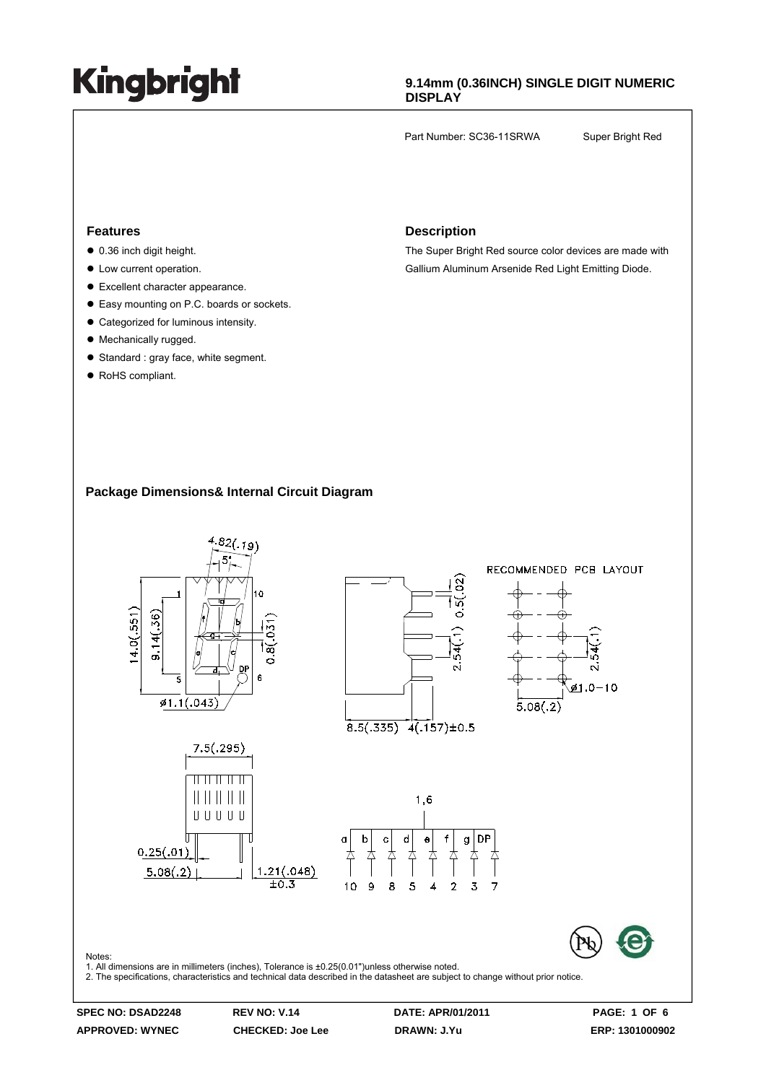### **9.14mm (0.36INCH) SINGLE DIGIT NUMERIC DISPLAY**

Part Number: SC36-11SRWA Super Bright Red

#### **Features**

- $\bullet$  0.36 inch digit height.
- $\bullet$  Low current operation.
- $\bullet$  Excellent character appearance.
- Easy mounting on P.C. boards or sockets.
- Categorized for luminous intensity.
- Mechanically rugged.
- Standard : gray face, white segment.
- RoHS compliant.

#### **Description**

The Super Bright Red source color devices are made with Gallium Aluminum Arsenide Red Light Emitting Diode.

#### **Package Dimensions& Internal Circuit Diagram**



**APPROVED: WYNEC CHECKED: Joe Lee DRAWN: J.Yu ERP: 1301000902**

**SPEC NO: DSAD2248 REV NO: V.14 DATE: APR/01/2011 PAGE: 1 OF 6**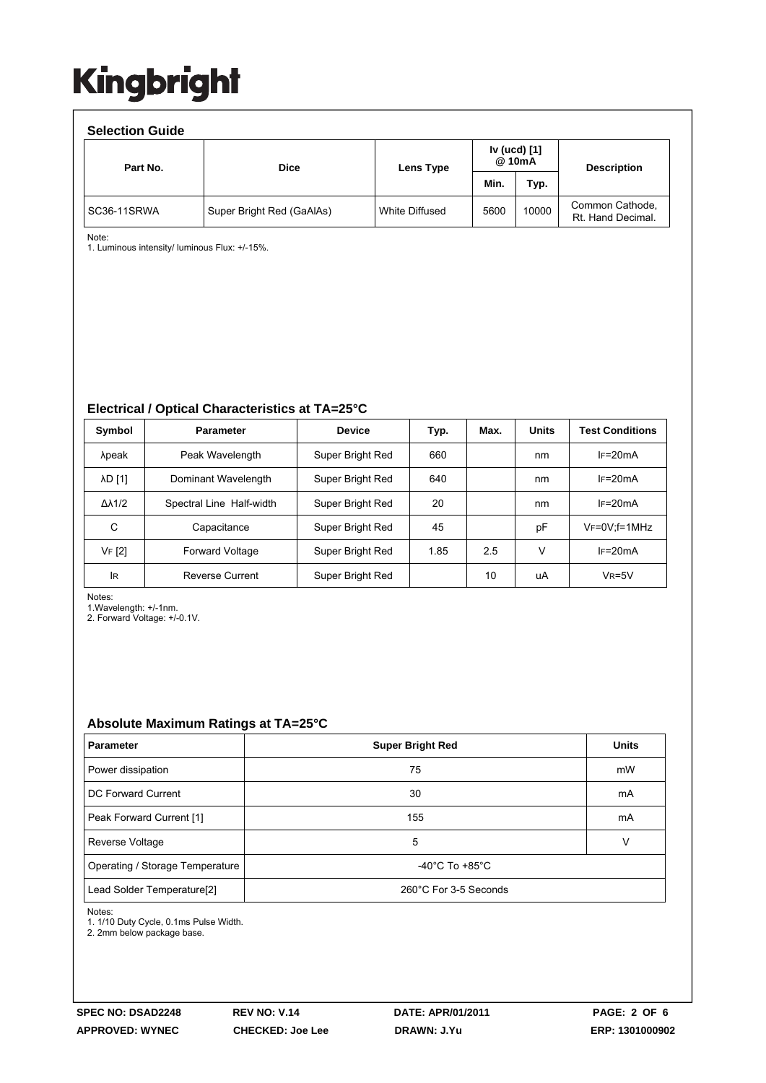| <b>Selection Guide</b> |                           |                |                        |       |                                      |  |  |  |  |  |
|------------------------|---------------------------|----------------|------------------------|-------|--------------------------------------|--|--|--|--|--|
| Part No.               | <b>Dice</b>               | Lens Type      | Iv (ucd) [1]<br>@ 10mA |       | <b>Description</b>                   |  |  |  |  |  |
|                        |                           |                | Min.                   | Typ.  |                                      |  |  |  |  |  |
| SC36-11SRWA            | Super Bright Red (GaAlAs) | White Diffused | 5600                   | 10000 | Common Cathode,<br>Rt. Hand Decimal. |  |  |  |  |  |

Note:

1. Luminous intensity/ luminous Flux: +/-15%.

#### **Electrical / Optical Characteristics at TA=25°C**

| Symbol              | <b>Parameter</b>         | <b>Device</b>    | Typ. | Max. | <b>Units</b> | <b>Test Conditions</b> |
|---------------------|--------------------------|------------------|------|------|--------------|------------------------|
| λpeak               | Peak Wavelength          | Super Bright Red | 660  |      | nm           | $IF=20mA$              |
| <b>AD [1]</b>       | Dominant Wavelength      | Super Bright Red | 640  |      | nm           | $IF=20mA$              |
| $\Delta\lambda$ 1/2 | Spectral Line Half-width | Super Bright Red | 20   |      | nm           | $IF=20mA$              |
| С                   | Capacitance              | Super Bright Red | 45   |      | pF           | $V_F = 0V$ : f = 1MHz  |
| VF [2]              | <b>Forward Voltage</b>   | Super Bright Red | 1.85 | 2.5  | V            | $IF=20mA$              |
| <b>IR</b>           | <b>Reverse Current</b>   | Super Bright Red |      | 10   | uA           | $V_R = 5V$             |

Notes:

1.Wavelength: +/-1nm.

2. Forward Voltage: +/-0.1V.

### **Absolute Maximum Ratings at TA=25°C**

| <b>Parameter</b>                       | <b>Super Bright Red</b>              | <b>Units</b> |  |
|----------------------------------------|--------------------------------------|--------------|--|
| Power dissipation                      | 75                                   | mW           |  |
| DC Forward Current                     | 30                                   | mA           |  |
| Peak Forward Current [1]               | 155                                  | mA           |  |
| Reverse Voltage                        | 5                                    | v            |  |
| Operating / Storage Temperature        | -40 $^{\circ}$ C To +85 $^{\circ}$ C |              |  |
| Lead Solder Temperature <sup>[2]</sup> | 260°C For 3-5 Seconds                |              |  |

Notes:

1. 1/10 Duty Cycle, 0.1ms Pulse Width.

2. 2mm below package base.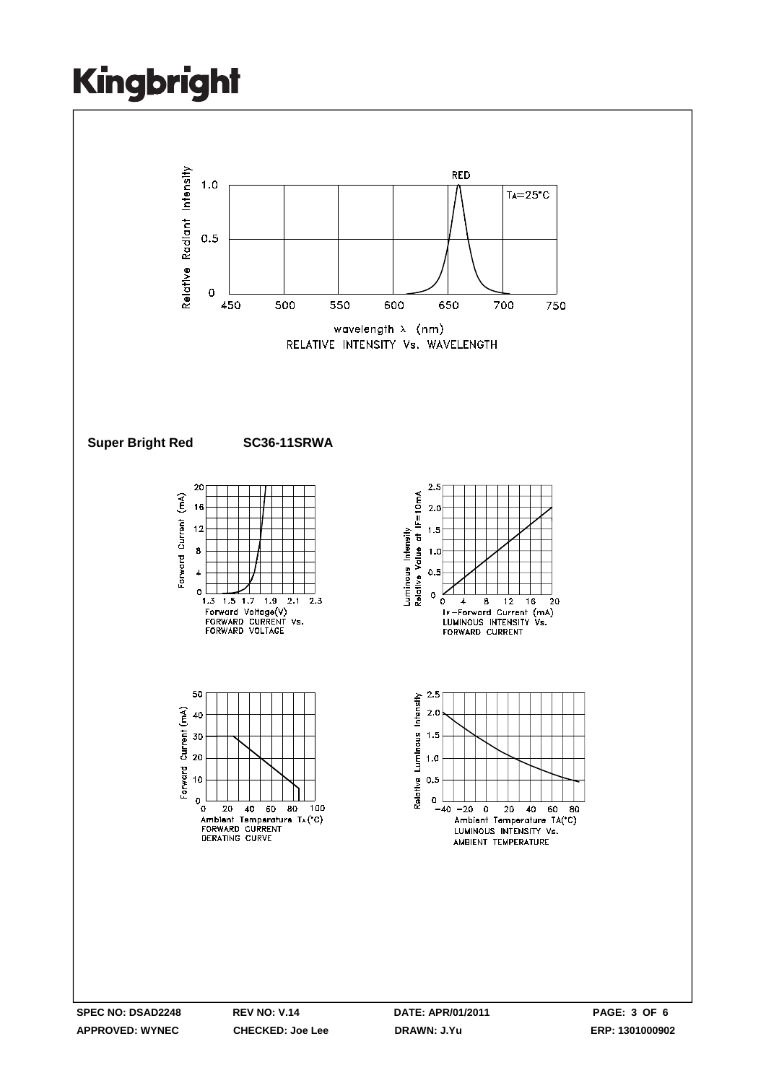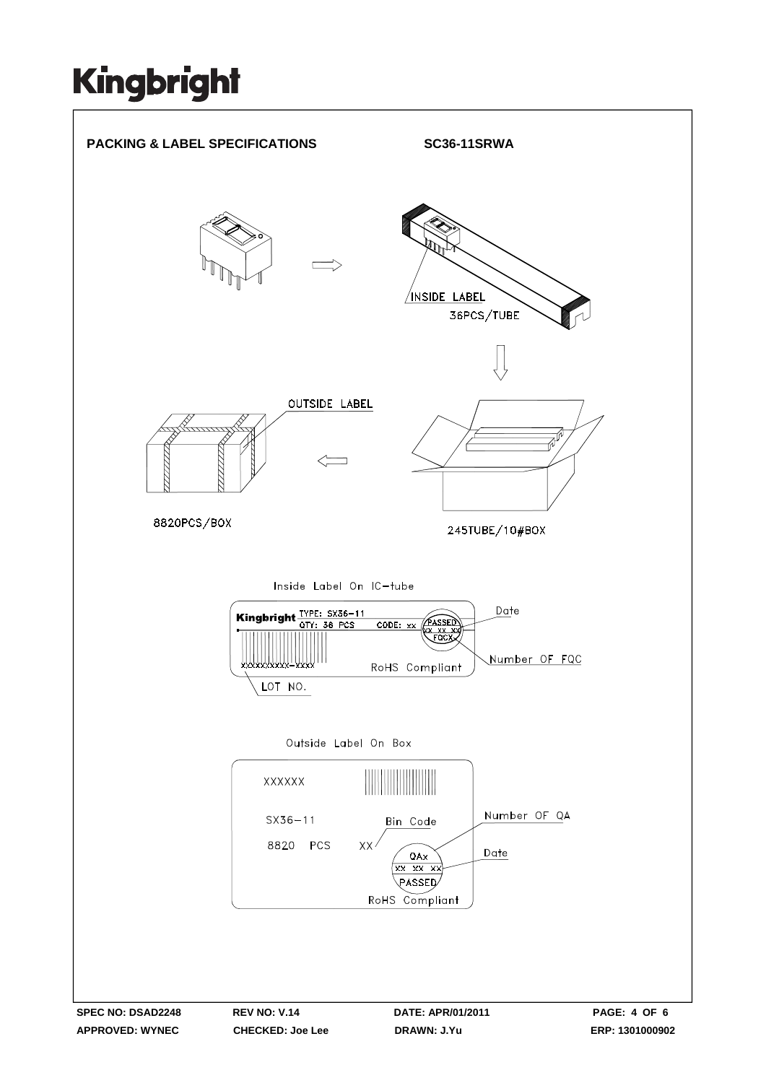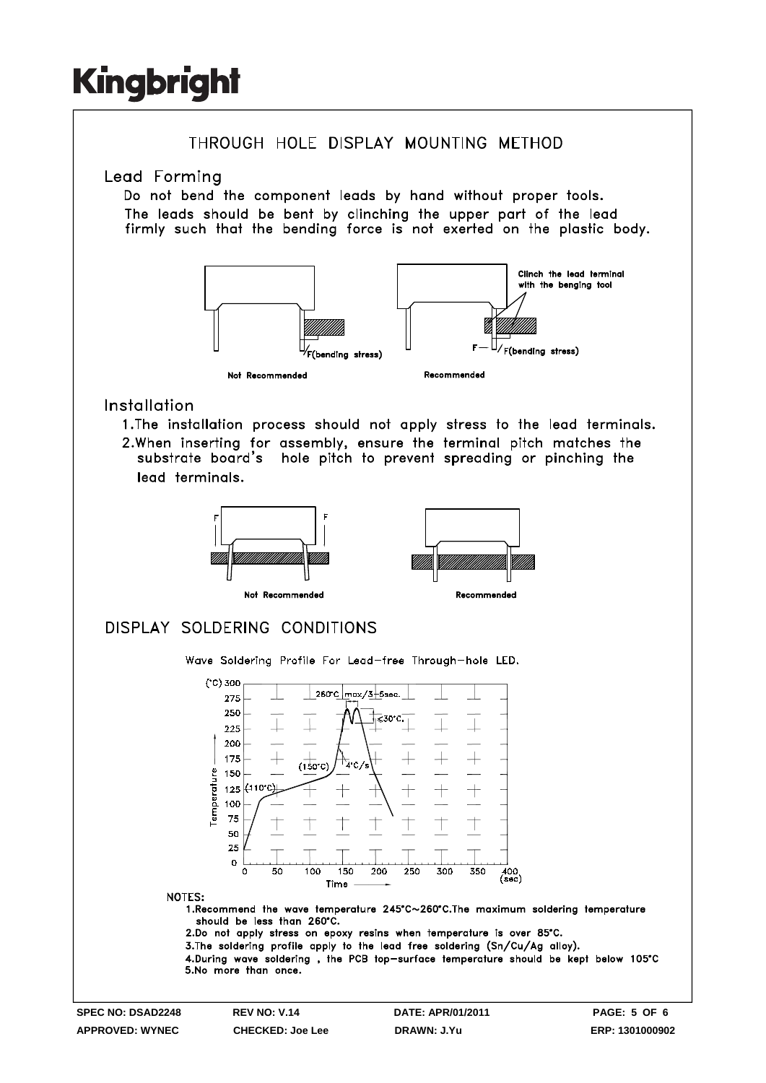